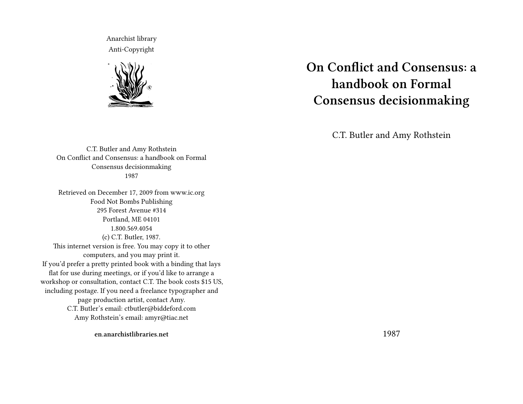Anarchist library Anti-Copyright



C.T. Butler and Amy Rothstein On Conflict and Consensus: a handbook on Formal Consensus decisionmaking 1987

Retrieved on December 17, 2009 from www.ic.org Food Not Bombs Publishing 295 Forest Avenue #314 Portland, ME 04101 1.800.569.4054 (c) C.T. Butler, 1987. This internet version is free. You may copy it to other computers, and you may print it. If you'd prefer a pretty printed book with a binding that lays flat for use during meetings, or if you'd like to arrange a workshop or consultation, contact C.T. The book costs \$15 US, including postage. If you need a freelance typographer and page production artist, contact Amy. C.T. Butler's email: ctbutler@biddeford.com Amy Rothstein's email: amyr@tiac.net

**On Conflict and Consensus: a handbook on Formal Consensus decisionmaking**

C.T. Butler and Amy Rothstein

**en.anarchistlibraries.net**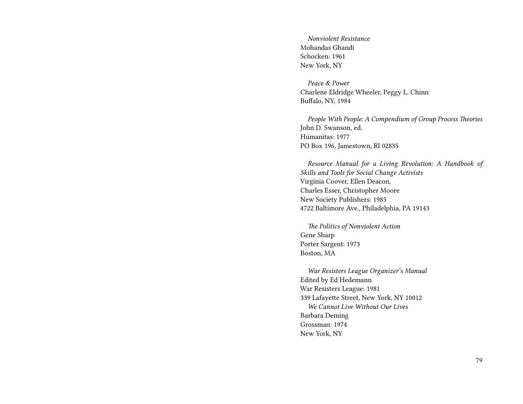*Nonviolent Resistance* Mohandas Ghandi Schocken: 1961 New York, NY

*Peace & Power* Charlene Eldridge Wheeler, Peggy L. Chinn Buffalo, NY, 1984

*People With People: A Compendium of Group Process Theories* John D. Swanson, ed. Humanitas: 1977 PO Box 196, Jamestown, RI 02835

*Resource Manual for a Living Revolution: A Handbook of Skills and Tools for Social Change Activists* Virginia Coover, Ellen Deacon, Charles Esser, Christopher Moore New Society Publishers: 1985 4722 Baltimore Ave., Philadelphia, PA 19143

*The Politics of Nonviolent Action* Gene Sharp Porter Sargent: 1973 Boston, MA

*War Resisters League Organizer's Manual* Edited by Ed Hedemann War Resisters League: 1981 339 Lafayette Street, New York, NY 10012 *We Cannot Live Without Our Lives* Barbara Deming Grossman: 1974 New York, NY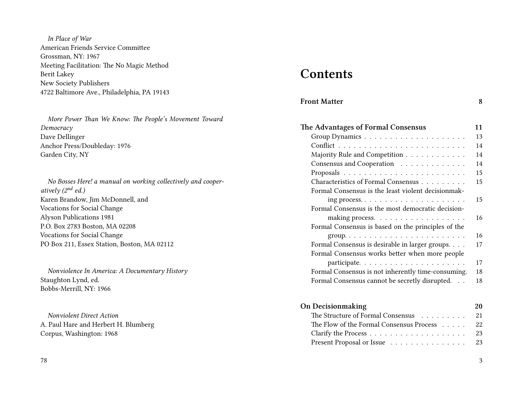*In Place of War* American Friends Service Committee Grossman, NY: 1967 Meeting Facilitation: The No Magic Method Berit Lakey New Society Publishers 4722 Baltimore Ave., Philadelphia, PA 19143

*More Power Than We Know: The People's Movement Toward Democracy* Dave Dellinger Anchor Press/Doubleday: 1976 Garden City, NY

*No Bosses Here! a manual on working collectively and cooperatively (2nd ed.)* Karen Brandow, Jim McDonnell, and Vocations for Social Change Alyson Publications 1981 P.O. Box 2783 Boston, MA 02208 Vocations for Social Change PO Box 211, Essex Station, Boston, MA 02112

*Nonviolence In America: A Documentary History* Staughton Lynd, ed. Bobbs-Merrill, NY: 1966

*Nonviolent Direct Action* A. Paul Hare and Herbert H. Blumberg Corpus, Washington: 1968

#### 78

# **Contents**

| <b>Front Matter</b> |  |
|---------------------|--|
|                     |  |

| The Advantages of Formal Consensus                 | 11 |
|----------------------------------------------------|----|
|                                                    | 13 |
|                                                    | 14 |
| Majority Rule and Competition                      | 14 |
| Consensus and Cooperation                          | 14 |
|                                                    | 15 |
| Characteristics of Formal Consensus                | 15 |
| Formal Consensus is the least violent decisionmak- |    |
|                                                    | 15 |
| Formal Consensus is the most democratic decision-  |    |
|                                                    | 16 |
| Formal Consensus is based on the principles of the |    |
|                                                    | 16 |
| Formal Consensus is desirable in larger groups.    | 17 |
| Formal Consensus works better when more people     |    |
|                                                    | 17 |
| Formal Consensus is not inherently time-consuming. | 18 |
| Formal Consensus cannot be secretly disrupted.     | 18 |

| <b>On Decisionmaking</b>                    | 20 |
|---------------------------------------------|----|
| The Structure of Formal Consensus 21        |    |
| The Flow of the Formal Consensus Process 22 |    |
|                                             | 23 |
| Present Proposal or Issue 23                |    |
|                                             |    |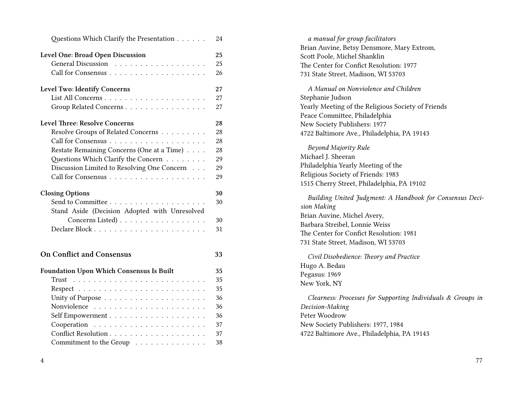| Questions Which Clarify the Presentation                                | 24       |
|-------------------------------------------------------------------------|----------|
| Level One: Broad Open Discussion                                        | 25       |
| General Discussion                                                      | 25       |
|                                                                         | 26       |
| Level Two: Identify Concerns                                            | 27       |
|                                                                         | 27       |
| Group Related Concerns                                                  | 27       |
| <b>Level Three: Resolve Concerns</b>                                    | 28       |
| Resolve Groups of Related Concerns                                      | 28       |
|                                                                         | 28       |
| Restate Remaining Concerns (One at a Time)                              | 28       |
| Questions Which Clarify the Concern                                     | 29       |
| Discussion Limited to Resolving One Concern                             | 29       |
|                                                                         | 29       |
| <b>Closing Options</b><br>Stand Aside (Decision Adopted with Unresolved | 30<br>30 |
| Concerns Listed)                                                        | 30       |
|                                                                         | 31       |
|                                                                         |          |
| <b>On Conflict and Consensus</b>                                        | 33       |
| <b>Foundation Upon Which Consensus Is Built</b>                         | 35       |
| Trust                                                                   | 35       |
|                                                                         | 35       |
|                                                                         | 36       |
|                                                                         | 36       |
|                                                                         | 36       |
|                                                                         | 37       |
|                                                                         | 37       |
| Commitment to the Group                                                 | 38       |

| a manual for group facilitators                                         |
|-------------------------------------------------------------------------|
| Brian Auvine, Betsy Densmore, Mary Extrom,                              |
| Scott Poole, Michel Shanklin                                            |
| The Center for Confict Resolution: 1977                                 |
| 731 State Street, Madison, WI 53703                                     |
| A Manual on Nonviolence and Children                                    |
| Stephanie Judson                                                        |
| Yearly Meeting of the Religious Society of Friends                      |
| Peace Committee, Philadelphia                                           |
| New Society Publishers: 1977                                            |
| 4722 Baltimore Ave., Philadelphia, PA 19143                             |
| Beyond Majority Rule                                                    |
| Michael J. Sheeran                                                      |
| Philadelphia Yearly Meeting of the                                      |
| Religious Society of Friends: 1983                                      |
| 1515 Cherry Street, Philadelphia, PA 19102                              |
| Building United Judgment: A Handbook for Consensus Deci-<br>sion Making |
| Brian Auvine, Michel Avery,                                             |
| Barbara Streibel, Lonnie Weiss                                          |
| The Center for Confict Resolution: 1981                                 |
| 731 State Street, Madison, WI 53703                                     |
| Civil Disobedience: Theory and Practice                                 |
| Hugo A. Bedau                                                           |
| Pegasus: 1969                                                           |
| New York, NY                                                            |
| Clearness: Processes for Supporting Individuals & Groups in             |
| Decision-Making                                                         |
| Peter Woodrow                                                           |
| New Society Publishers: 1977, 1984                                      |
| 4722 Baltimore Ave., Philadelphia, PA 19143                             |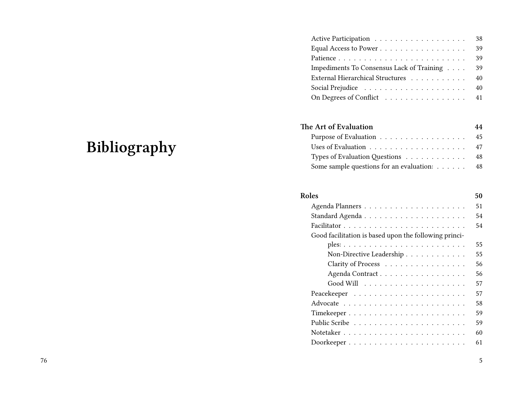|                                           |  |  | 38 |
|-------------------------------------------|--|--|----|
|                                           |  |  | 39 |
|                                           |  |  | 39 |
| Impediments To Consensus Lack of Training |  |  | 39 |
| External Hierarchical Structures          |  |  | 40 |
|                                           |  |  |    |
| On Degrees of Conflict 41                 |  |  |    |
|                                           |  |  |    |

## **The Art of Evaluation 44**

| Purpose of Evaluation 45                    |  |
|---------------------------------------------|--|
|                                             |  |
| Types of Evaluation Questions 48            |  |
| Some sample questions for an evaluation: 48 |  |

| Roles                                                 | 50 |
|-------------------------------------------------------|----|
|                                                       | 51 |
|                                                       | 54 |
|                                                       | 54 |
| Good facilitation is based upon the following princi- |    |
|                                                       | 55 |
| Non-Directive Leadership                              | 55 |
| Clarity of Process                                    | 56 |
| Agenda Contract                                       | 56 |
|                                                       | 57 |
|                                                       | 57 |
|                                                       | 58 |
|                                                       | 59 |
|                                                       | 59 |
|                                                       | 60 |
|                                                       | 61 |
|                                                       |    |

# **Bibliography**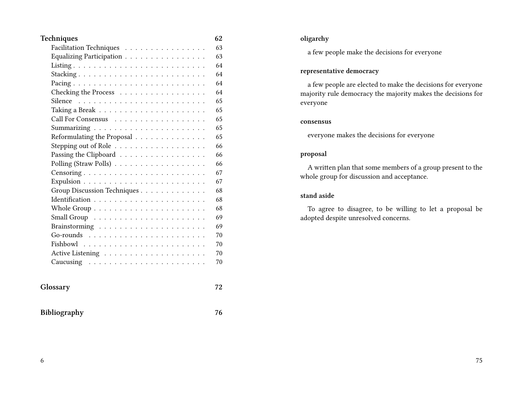| Techniques                                                                                                                                                                                                                                                                                                                                                                                                                                                             | 62 |
|------------------------------------------------------------------------------------------------------------------------------------------------------------------------------------------------------------------------------------------------------------------------------------------------------------------------------------------------------------------------------------------------------------------------------------------------------------------------|----|
| Facilitation Techniques                                                                                                                                                                                                                                                                                                                                                                                                                                                | 63 |
| Equalizing Participation $\ldots \ldots \ldots \ldots \ldots$                                                                                                                                                                                                                                                                                                                                                                                                          | 63 |
|                                                                                                                                                                                                                                                                                                                                                                                                                                                                        | 64 |
|                                                                                                                                                                                                                                                                                                                                                                                                                                                                        | 64 |
|                                                                                                                                                                                                                                                                                                                                                                                                                                                                        | 64 |
| Checking the Process                                                                                                                                                                                                                                                                                                                                                                                                                                                   | 64 |
|                                                                                                                                                                                                                                                                                                                                                                                                                                                                        | 65 |
| Taking a Break $\ldots \ldots \ldots \ldots \ldots \ldots \ldots$                                                                                                                                                                                                                                                                                                                                                                                                      | 65 |
| Call For Consensus                                                                                                                                                                                                                                                                                                                                                                                                                                                     | 65 |
|                                                                                                                                                                                                                                                                                                                                                                                                                                                                        | 65 |
| Reformulating the Proposal                                                                                                                                                                                                                                                                                                                                                                                                                                             | 65 |
| Stepping out of Role                                                                                                                                                                                                                                                                                                                                                                                                                                                   | 66 |
| Passing the Clipboard $\dots \dots \dots \dots \dots \dots$                                                                                                                                                                                                                                                                                                                                                                                                            | 66 |
| Polling (Straw Polls)                                                                                                                                                                                                                                                                                                                                                                                                                                                  | 66 |
|                                                                                                                                                                                                                                                                                                                                                                                                                                                                        | 67 |
|                                                                                                                                                                                                                                                                                                                                                                                                                                                                        | 67 |
| Group Discussion Techniques                                                                                                                                                                                                                                                                                                                                                                                                                                            | 68 |
|                                                                                                                                                                                                                                                                                                                                                                                                                                                                        | 68 |
|                                                                                                                                                                                                                                                                                                                                                                                                                                                                        | 68 |
|                                                                                                                                                                                                                                                                                                                                                                                                                                                                        | 69 |
|                                                                                                                                                                                                                                                                                                                                                                                                                                                                        | 69 |
| Go-rounds<br>$\mathcal{L}^{\mathcal{A}}(\mathcal{A}^{\mathcal{A}}(\mathcal{A}^{\mathcal{A}}(\mathcal{A}^{\mathcal{A}}(\mathcal{A}^{\mathcal{A}}(\mathcal{A}^{\mathcal{A}}(\mathcal{A}^{\mathcal{A}}(\mathcal{A}^{\mathcal{A}}(\mathcal{A}^{\mathcal{A}}(\mathcal{A}^{\mathcal{A}}(\mathcal{A}^{\mathcal{A}}(\mathcal{A}^{\mathcal{A}}(\mathcal{A}^{\mathcal{A}}(\mathcal{A}^{\mathcal{A}}(\mathcal{A}^{\mathcal{A}}(\mathcal{A}^{\mathcal{A}}(\mathcal{A}^{\mathcal{A$ | 70 |
|                                                                                                                                                                                                                                                                                                                                                                                                                                                                        | 70 |
|                                                                                                                                                                                                                                                                                                                                                                                                                                                                        | 70 |
|                                                                                                                                                                                                                                                                                                                                                                                                                                                                        | 70 |
| Glossary                                                                                                                                                                                                                                                                                                                                                                                                                                                               | 72 |
| Bibliography                                                                                                                                                                                                                                                                                                                                                                                                                                                           | 76 |

#### **oligarchy**

a few people make the decisions for everyone

#### **representative democracy**

a few people are elected to make the decisions for everyone majority rule democracy the majority makes the decisions for everyone

#### **consensus**

everyone makes the decisions for everyone

#### **proposal**

A written plan that some members of a group present to the whole group for discussion and acceptance.

#### **stand aside**

To agree to disagree, to be willing to let a proposal be adopted despite unresolved concerns.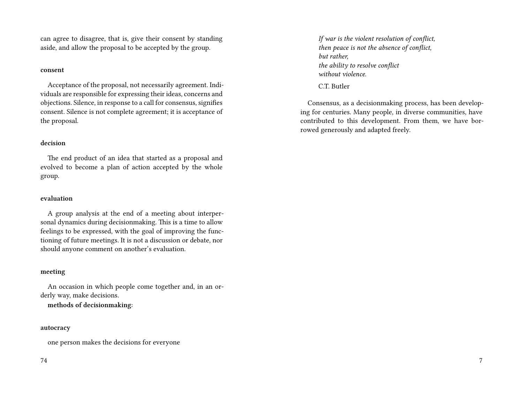can agree to disagree, that is, give their consent by standing aside, and allow the proposal to be accepted by the group.

#### **consent**

Acceptance of the proposal, not necessarily agreement. Individuals are responsible for expressing their ideas, concerns and objections. Silence, in response to a call for consensus, signifies consent. Silence is not complete agreement; it is acceptance of the proposal.

#### **decision**

The end product of an idea that started as a proposal and evolved to become a plan of action accepted by the whole group.

#### **evaluation**

A group analysis at the end of a meeting about interpersonal dynamics during decisionmaking. This is a time to allow feelings to be expressed, with the goal of improving the functioning of future meetings. It is not a discussion or debate, nor should anyone comment on another's evaluation.

#### **meeting**

An occasion in which people come together and, in an orderly way, make decisions.

**methods of decisionmaking:**

#### **autocracy**

one person makes the decisions for everyone

#### 74

*If war is the violent resolution of conflict, then peace is not the absence of conflict, but rather, the ability to resolve conflict without violence.*

C.T. Butler

Consensus, as a decisionmaking process, has been developing for centuries. Many people, in diverse communities, have contributed to this development. From them, we have borrowed generously and adapted freely.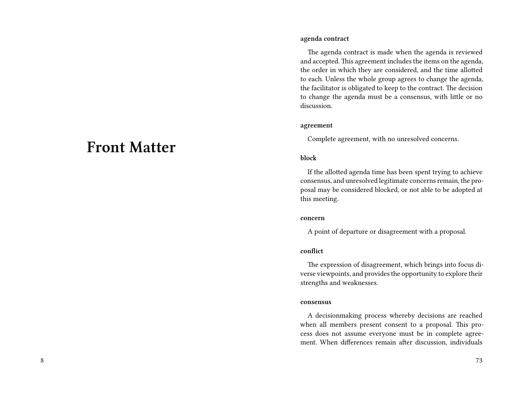# **Front Matter**

#### **agenda contract**

The agenda contract is made when the agenda is reviewed and accepted. This agreement includes the items on the agenda, the order in which they are considered, and the time allotted to each. Unless the whole group agrees to change the agenda, the facilitator is obligated to keep to the contract. The decision to change the agenda must be a consensus, with little or no discussion.

#### **agreement**

Complete agreement, with no unresolved concerns.

#### **block**

If the allotted agenda time has been spent trying to achieve consensus, and unresolved legitimate concerns remain, the proposal may be considered blocked, or not able to be adopted at this meeting.

#### **concern**

A point of departure or disagreement with a proposal.

#### **conflict**

The expression of disagreement, which brings into focus diverse viewpoints, and provides the opportunity to explore their strengths and weaknesses.

#### **consensus**

A decisionmaking process whereby decisions are reached when all members present consent to a proposal. This process does not assume everyone must be in complete agreement. When differences remain after discussion, individuals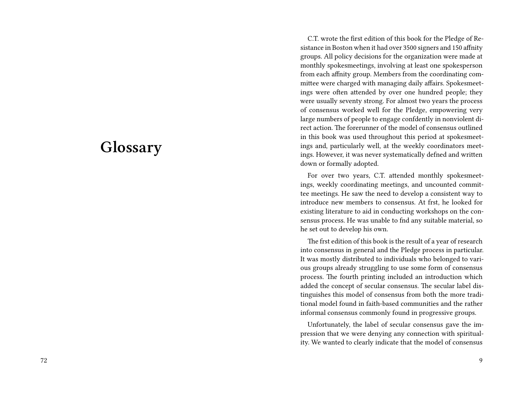# **Glossary**

C.T. wrote the first edition of this book for the Pledge of Resistance in Boston when it had over 3500 signers and 150 affnity groups. All policy decisions for the organization were made at monthly spokesmeetings, involving at least one spokesperson from each affnity group. Members from the coordinating committee were charged with managing daily affairs. Spokesmeetings were often attended by over one hundred people; they were usually seventy strong. For almost two years the process of consensus worked well for the Pledge, empowering very large numbers of people to engage confdently in nonviolent direct action. The forerunner of the model of consensus outlined in this book was used throughout this period at spokesmeetings and, particularly well, at the weekly coordinators meetings. However, it was never systematically defned and written down or formally adopted.

For over two years, C.T. attended monthly spokesmeetings, weekly coordinating meetings, and uncounted committee meetings. He saw the need to develop a consistent way to introduce new members to consensus. At frst, he looked for existing literature to aid in conducting workshops on the consensus process. He was unable to fnd any suitable material, so he set out to develop his own.

The frst edition of this book is the result of a year of research into consensus in general and the Pledge process in particular. It was mostly distributed to individuals who belonged to various groups already struggling to use some form of consensus process. The fourth printing included an introduction which added the concept of secular consensus. The secular label distinguishes this model of consensus from both the more traditional model found in faith-based communities and the rather informal consensus commonly found in progressive groups.

Unfortunately, the label of secular consensus gave the impression that we were denying any connection with spirituality. We wanted to clearly indicate that the model of consensus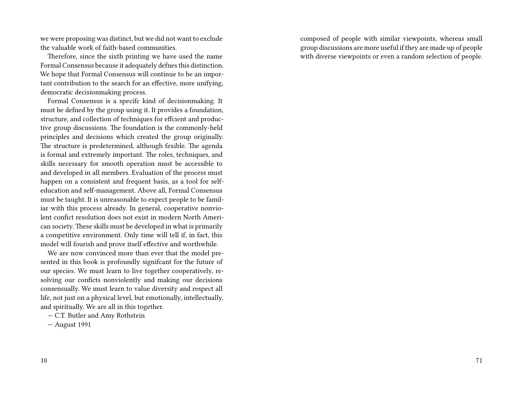we were proposing was distinct, but we did not want to exclude the valuable work of faith-based communities.

Therefore, since the sixth printing we have used the name Formal Consensus because it adequately defnes this distinction. We hope that Formal Consensus will continue to be an important contribution to the search for an effective, more unifying, democratic decisionmaking process.

Formal Consensus is a specifc kind of decisionmaking. It must be defned by the group using it. It provides a foundation, structure, and collection of techniques for effcient and productive group discussions. The foundation is the commonly-held principles and decisions which created the group originally. The structure is predetermined, although fexible. The agenda is formal and extremely important. The roles, techniques, and skills necessary for smooth operation must be accessible to and developed in all members. Evaluation of the process must happen on a consistent and frequent basis, as a tool for selfeducation and self-management. Above all, Formal Consensus must be taught. It is unreasonable to expect people to be familiar with this process already. In general, cooperative nonviolent confict resolution does not exist in modern North American society. These skills must be developed in what is primarily a competitive environment. Only time will tell if, in fact, this model will fourish and prove itself effective and worthwhile.

We are now convinced more than ever that the model presented in this book is profoundly signifcant for the future of our species. We must learn to live together cooperatively, resolving our conficts nonviolently and making our decisions consensually. We must learn to value diversity and respect all life, not just on a physical level, but emotionally, intellectually, and spiritually. We are all in this together.

— C.T. Butler and Amy Rothstein

— August 1991

10

composed of people with similar viewpoints, whereas small group discussions are more useful if they are made up of people with diverse viewpoints or even a random selection of people.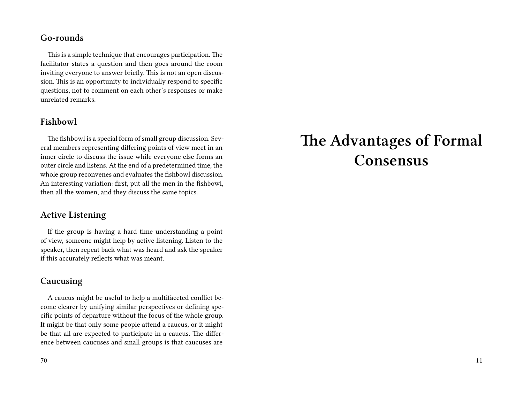#### **Go-rounds**

This is a simple technique that encourages participation. The facilitator states a question and then goes around the room inviting everyone to answer briefly. This is not an open discussion. This is an opportunity to individually respond to specific questions, not to comment on each other's responses or make unrelated remarks.

### **Fishbowl**

The fishbowl is a special form of small group discussion. Several members representing differing points of view meet in an inner circle to discuss the issue while everyone else forms an outer circle and listens. At the end of a predetermined time, the whole group reconvenes and evaluates the fishbowl discussion. An interesting variation: first, put all the men in the fishbowl, then all the women, and they discuss the same topics.

#### **Active Listening**

If the group is having a hard time understanding a point of view, someone might help by active listening. Listen to the speaker, then repeat back what was heard and ask the speaker if this accurately reflects what was meant.

#### **Caucusing**

A caucus might be useful to help a multifaceted conflict become clearer by unifying similar perspectives or defining specific points of departure without the focus of the whole group. It might be that only some people attend a caucus, or it might be that all are expected to participate in a caucus. The difference between caucuses and small groups is that caucuses are

#### 70

# **The Advantages of Formal Consensus**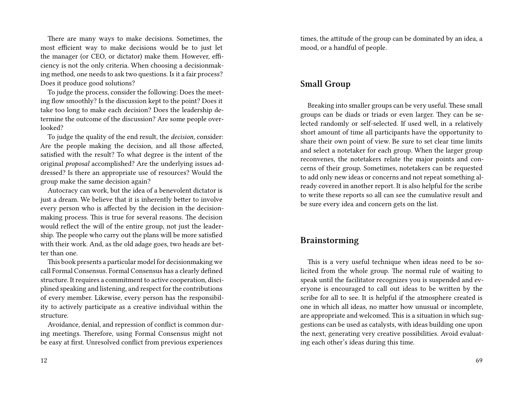There are many ways to make decisions. Sometimes, the most efficient way to make decisions would be to just let the manager (or CEO, or dictator) make them. However, efficiency is not the only criteria. When choosing a decisionmaking method, one needs to ask two questions. Is it a fair process? Does it produce good solutions?

To judge the process, consider the following: Does the meeting flow smoothly? Is the discussion kept to the point? Does it take too long to make each decision? Does the leadership determine the outcome of the discussion? Are some people overlooked?

To judge the quality of the end result, the *decision,* consider: Are the people making the decision, and all those affected, satisfied with the result? To what degree is the intent of the original *proposal* accomplished? Are the underlying issues addressed? Is there an appropriate use of resources? Would the group make the same decision again?

Autocracy can work, but the idea of a benevolent dictator is just a dream. We believe that it is inherently better to involve every person who is affected by the decision in the decisionmaking process. This is true for several reasons. The decision would reflect the will of the entire group, not just the leadership. The people who carry out the plans will be more satisfied with their work. And, as the old adage goes, two heads are better than one.

This book presents a particular model for decisionmaking we call Formal Consensus. Formal Consensus has a clearly defined structure. It requires a commitment to active cooperation, disciplined speaking and listening, and respect for the contributions of every member. Likewise, every person has the responsibility to actively participate as a creative individual within the structure.

Avoidance, denial, and repression of conflict is common during meetings. Therefore, using Formal Consensus might not be easy at first. Unresolved conflict from previous experiences

times, the attitude of the group can be dominated by an idea, a mood, or a handful of people.

## **Small Group**

Breaking into smaller groups can be very useful. These small groups can be diads or triads or even larger. They can be selected randomly or self-selected. If used well, in a relatively short amount of time all participants have the opportunity to share their own point of view. Be sure to set clear time limits and select a notetaker for each group. When the larger group reconvenes, the notetakers relate the major points and concerns of their group. Sometimes, notetakers can be requested to add only new ideas or concerns and not repeat something already covered in another report. It is also helpful for the scribe to write these reports so all can see the cumulative result and be sure every idea and concern gets on the list.

#### **Brainstorming**

This is a very useful technique when ideas need to be solicited from the whole group. The normal rule of waiting to speak until the facilitator recognizes you is suspended and everyone is encouraged to call out ideas to be written by the scribe for all to see. It is helpful if the atmosphere created is one in which all ideas, no matter how unusual or incomplete, are appropriate and welcomed. This is a situation in which suggestions can be used as catalysts, with ideas building one upon the next, generating very creative possibilities. Avoid evaluating each other's ideas during this time.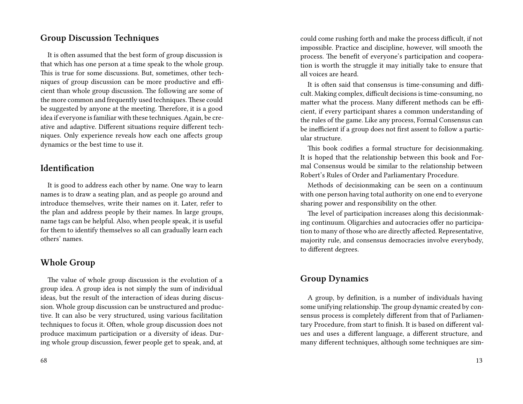#### **Group Discussion Techniques**

It is often assumed that the best form of group discussion is that which has one person at a time speak to the whole group. This is true for some discussions. But, sometimes, other techniques of group discussion can be more productive and efficient than whole group discussion. The following are some of the more common and frequently used techniques. These could be suggested by anyone at the meeting. Therefore, it is a good idea if everyone is familiar with these techniques. Again, be creative and adaptive. Different situations require different techniques. Only experience reveals how each one affects group dynamics or the best time to use it.

## **Identification**

It is good to address each other by name. One way to learn names is to draw a seating plan, and as people go around and introduce themselves, write their names on it. Later, refer to the plan and address people by their names. In large groups, name tags can be helpful. Also, when people speak, it is useful for them to identify themselves so all can gradually learn each others' names.

#### **Whole Group**

The value of whole group discussion is the evolution of a group idea. A group idea is not simply the sum of individual ideas, but the result of the interaction of ideas during discussion. Whole group discussion can be unstructured and productive. It can also be very structured, using various facilitation techniques to focus it. Often, whole group discussion does not produce maximum participation or a diversity of ideas. During whole group discussion, fewer people get to speak, and, at

could come rushing forth and make the process difficult, if not impossible. Practice and discipline, however, will smooth the process. The benefit of everyone's participation and cooperation is worth the struggle it may initially take to ensure that all voices are heard.

It is often said that consensus is time-consuming and difficult. Making complex, difficult decisions is time-consuming, no matter what the process. Many different methods can be efficient, if every participant shares a common understanding of the rules of the game. Like any process, Formal Consensus can be inefficient if a group does not first assent to follow a particular structure.

This book codifies a formal structure for decisionmaking. It is hoped that the relationship between this book and Formal Consensus would be similar to the relationship between Robert's Rules of Order and Parliamentary Procedure.

Methods of decisionmaking can be seen on a continuum with one person having total authority on one end to everyone sharing power and responsibility on the other.

The level of participation increases along this decisionmaking continuum. Oligarchies and autocracies offer no participation to many of those who are directly affected. Representative, majority rule, and consensus democracies involve everybody, to different degrees.

## **Group Dynamics**

A group, by definition, is a number of individuals having some unifying relationship. The group dynamic created by consensus process is completely different from that of Parliamentary Procedure, from start to finish. It is based on different values and uses a different language, a different structure, and many different techniques, although some techniques are sim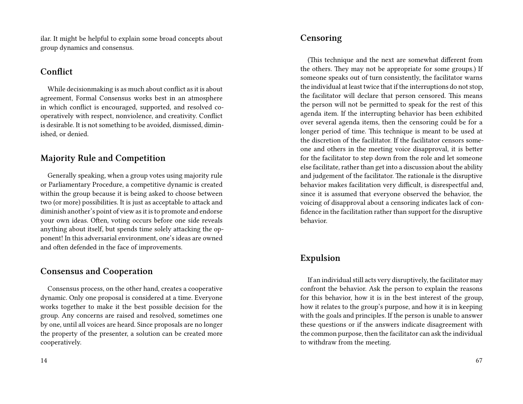ilar. It might be helpful to explain some broad concepts about group dynamics and consensus.

### **Conflict**

While decisionmaking is as much about conflict as it is about agreement, Formal Consensus works best in an atmosphere in which conflict is encouraged, supported, and resolved cooperatively with respect, nonviolence, and creativity. Conflict is desirable. It is not something to be avoided, dismissed, diminished, or denied.

## **Majority Rule and Competition**

Generally speaking, when a group votes using majority rule or Parliamentary Procedure, a competitive dynamic is created within the group because it is being asked to choose between two (or more) possibilities. It is just as acceptable to attack and diminish another's point of view as it is to promote and endorse your own ideas. Often, voting occurs before one side reveals anything about itself, but spends time solely attacking the opponent! In this adversarial environment, one's ideas are owned and often defended in the face of improvements.

### **Consensus and Cooperation**

Consensus process, on the other hand, creates a cooperative dynamic. Only one proposal is considered at a time. Everyone works together to make it the best possible decision for the group. Any concerns are raised and resolved, sometimes one by one, until all voices are heard. Since proposals are no longer the property of the presenter, a solution can be created more cooperatively.

### **Censoring**

(This technique and the next are somewhat different from the others. They may not be appropriate for some groups.) If someone speaks out of turn consistently, the facilitator warns the individual at least twice that if the interruptions do not stop, the facilitator will declare that person censored. This means the person will not be permitted to speak for the rest of this agenda item. If the interrupting behavior has been exhibited over several agenda items, then the censoring could be for a longer period of time. This technique is meant to be used at the discretion of the facilitator. If the facilitator censors someone and others in the meeting voice disapproval, it is better for the facilitator to step down from the role and let someone else facilitate, rather than get into a discussion about the ability and judgement of the facilitator. The rationale is the disruptive behavior makes facilitation very difficult, is disrespectful and, since it is assumed that everyone observed the behavior, the voicing of disapproval about a censoring indicates lack of confidence in the facilitation rather than support for the disruptive behavior.

### **Expulsion**

If an individual still acts very disruptively, the facilitator may confront the behavior. Ask the person to explain the reasons for this behavior, how it is in the best interest of the group, how it relates to the group's purpose, and how it is in keeping with the goals and principles. If the person is unable to answer these questions or if the answers indicate disagreement with the common purpose, then the facilitator can ask the individual to withdraw from the meeting.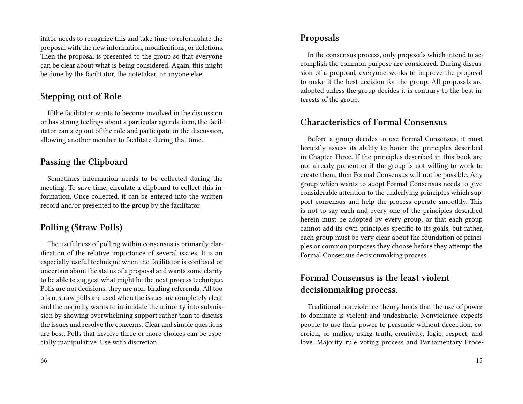itator needs to recognize this and take time to reformulate the proposal with the new information, modifications, or deletions. Then the proposal is presented to the group so that everyone can be clear about what is being considered. Again, this might be done by the facilitator, the notetaker, or anyone else.

#### **Stepping out of Role**

If the facilitator wants to become involved in the discussion or has strong feelings about a particular agenda item, the facilitator can step out of the role and participate in the discussion, allowing another member to facilitate during that time.

#### **Passing the Clipboard**

Sometimes information needs to be collected during the meeting. To save time, circulate a clipboard to collect this information. Once collected, it can be entered into the written record and/or presented to the group by the facilitator.

### **Polling (Straw Polls)**

The usefulness of polling within consensus is primarily clarification of the relative importance of several issues. It is an especially useful technique when the facilitator is confused or uncertain about the status of a proposal and wants some clarity to be able to suggest what might be the next process technique. Polls are not decisions, they are non-binding referenda. All too often, straw polls are used when the issues are completely clear and the majority wants to intimidate the minority into submission by showing overwhelming support rather than to discuss the issues and resolve the concerns. Clear and simple questions are best. Polls that involve three or more choices can be especially manipulative. Use with discretion.

#### **Proposals**

In the consensus process, only proposals which intend to accomplish the common purpose are considered. During discussion of a proposal, everyone works to improve the proposal to make it the best decision for the group. All proposals are adopted unless the group decides it is contrary to the best interests of the group.

### **Characteristics of Formal Consensus**

Before a group decides to use Formal Consensus, it must honestly assess its ability to honor the principles described in Chapter Three. If the principles described in this book are not already present or if the group is not willing to work to create them, then Formal Consensus will not be possible. Any group which wants to adopt Formal Consensus needs to give considerable attention to the underlying principles which support consensus and help the process operate smoothly. This is not to say each and every one of the principles described herein must be adopted by every group, or that each group cannot add its own principles specific to its goals, but rather, each group must be very clear about the foundation of principles or common purposes they choose before they attempt the Formal Consensus decisionmaking process.

## **Formal Consensus is the least violent decisionmaking process.**

Traditional nonviolence theory holds that the use of power to dominate is violent and undesirable. Nonviolence expects people to use their power to persuade without deception, coercion, or malice, using truth, creativity, logic, respect, and love. Majority rule voting process and Parliamentary Proce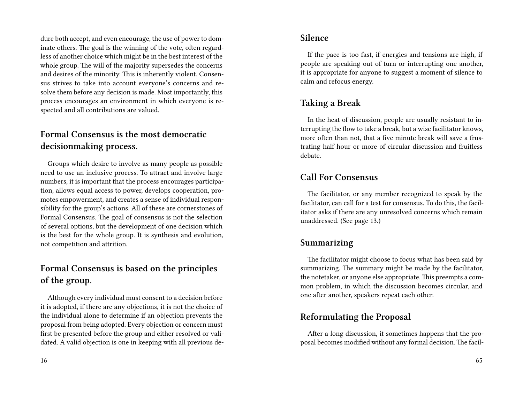dure both accept, and even encourage, the use of power to dominate others. The goal is the winning of the vote, often regardless of another choice which might be in the best interest of the whole group. The will of the majority supersedes the concerns and desires of the minority. This is inherently violent. Consensus strives to take into account everyone's concerns and resolve them before any decision is made. Most importantly, this process encourages an environment in which everyone is respected and all contributions are valued.

## **Formal Consensus is the most democratic decisionmaking process.**

Groups which desire to involve as many people as possible need to use an inclusive process. To attract and involve large numbers, it is important that the process encourages participation, allows equal access to power, develops cooperation, promotes empowerment, and creates a sense of individual responsibility for the group's actions. All of these are cornerstones of Formal Consensus. The goal of consensus is not the selection of several options, but the development of one decision which is the best for the whole group. It is synthesis and evolution, not competition and attrition.

## **Formal Consensus is based on the principles of the group.**

Although every individual must consent to a decision before it is adopted, if there are any objections, it is not the choice of the individual alone to determine if an objection prevents the proposal from being adopted. Every objection or concern must first be presented before the group and either resolved or validated. A valid objection is one in keeping with all previous de-

#### **Silence**

If the pace is too fast, if energies and tensions are high, if people are speaking out of turn or interrupting one another, it is appropriate for anyone to suggest a moment of silence to calm and refocus energy.

## **Taking a Break**

In the heat of discussion, people are usually resistant to interrupting the flow to take a break, but a wise facilitator knows, more often than not, that a five minute break will save a frustrating half hour or more of circular discussion and fruitless debate.

## **Call For Consensus**

The facilitator, or any member recognized to speak by the facilitator, can call for a test for consensus. To do this, the facilitator asks if there are any unresolved concerns which remain unaddressed. (See page 13.)

#### **Summarizing**

The facilitator might choose to focus what has been said by summarizing. The summary might be made by the facilitator, the notetaker, or anyone else appropriate. This preempts a common problem, in which the discussion becomes circular, and one after another, speakers repeat each other.

## **Reformulating the Proposal**

After a long discussion, it sometimes happens that the proposal becomes modified without any formal decision. The facil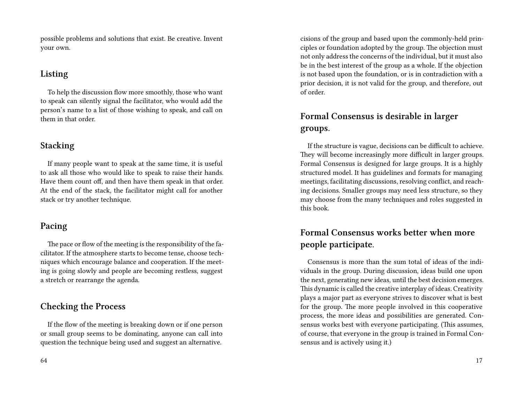possible problems and solutions that exist. Be creative. Invent your own.

## **Listing**

To help the discussion flow more smoothly, those who want to speak can silently signal the facilitator, who would add the person's name to a list of those wishing to speak, and call on them in that order.

### **Stacking**

If many people want to speak at the same time, it is useful to ask all those who would like to speak to raise their hands. Have them count off, and then have them speak in that order. At the end of the stack, the facilitator might call for another stack or try another technique.

## **Pacing**

The pace or flow of the meeting is the responsibility of the facilitator. If the atmosphere starts to become tense, choose techniques which encourage balance and cooperation. If the meeting is going slowly and people are becoming restless, suggest a stretch or rearrange the agenda.

## **Checking the Process**

If the flow of the meeting is breaking down or if one person or small group seems to be dominating, anyone can call into question the technique being used and suggest an alternative.

cisions of the group and based upon the commonly-held principles or foundation adopted by the group. The objection must not only address the concerns of the individual, but it must also be in the best interest of the group as a whole. If the objection is not based upon the foundation, or is in contradiction with a prior decision, it is not valid for the group, and therefore, out of order.

# **Formal Consensus is desirable in larger groups.**

If the structure is vague, decisions can be difficult to achieve. They will become increasingly more difficult in larger groups. Formal Consensus is designed for large groups. It is a highly structured model. It has guidelines and formats for managing meetings, facilitating discussions, resolving conflict, and reaching decisions. Smaller groups may need less structure, so they may choose from the many techniques and roles suggested in this book.

## **Formal Consensus works better when more people participate.**

Consensus is more than the sum total of ideas of the individuals in the group. During discussion, ideas build one upon the next, generating new ideas, until the best decision emerges. This dynamic is called the creative interplay of ideas. Creativity plays a major part as everyone strives to discover what is best for the group. The more people involved in this cooperative process, the more ideas and possibilities are generated. Consensus works best with everyone participating. (This assumes, of course, that everyone in the group is trained in Formal Consensus and is actively using it.)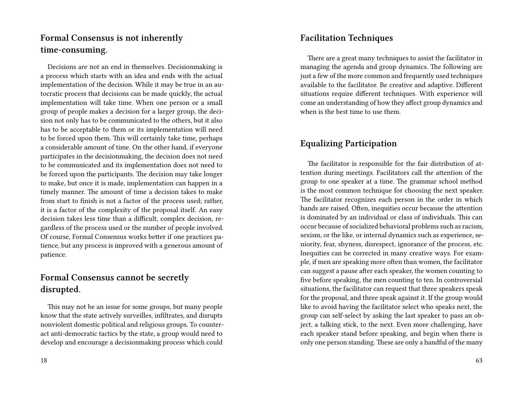## **Formal Consensus is not inherently time-consuming.**

Decisions are not an end in themselves. Decisionmaking is a process which starts with an idea and ends with the actual implementation of the decision. While it may be true in an autocratic process that decisions can be made quickly, the actual implementation will take time. When one person or a small group of people makes a decision for a larger group, the decision not only has to be communicated to the others, but it also has to be acceptable to them or its implementation will need to be forced upon them. This will certainly take time, perhaps a considerable amount of time. On the other hand, if everyone participates in the decisionmaking, the decision does not need to be communicated and its implementation does not need to be forced upon the participants. The decision may take longer to make, but once it is made, implementation can happen in a timely manner. The amount of time a decision takes to make from start to finish is not a factor of the process used; rather, it is a factor of the complexity of the proposal itself. An easy decision takes less time than a difficult, complex decision, regardless of the process used or the number of people involved. Of course, Formal Consensus works better if one practices patience, but any process is improved with a generous amount of patience.

## **Formal Consensus cannot be secretly disrupted.**

This may not be an issue for some groups, but many people know that the state actively surveilles, infiltrates, and disrupts nonviolent domestic political and religious groups. To counteract anti-democratic tactics by the state, a group would need to develop and encourage a decisionmaking process which could

### **Facilitation Techniques**

There are a great many techniques to assist the facilitator in managing the agenda and group dynamics. The following are just a few of the more common and frequently used techniques available to the facilitator. Be creative and adaptive. Different situations require different techniques. With experience will come an understanding of how they affect group dynamics and when is the best time to use them.

### **Equalizing Participation**

The facilitator is responsible for the fair distribution of attention during meetings. Facilitators call the attention of the group to one speaker at a time. The grammar school method is the most common technique for choosing the next speaker. The facilitator recognizes each person in the order in which hands are raised. Often, inequities occur because the attention is dominated by an individual or class of individuals. This can occur because of socialized behavioral problems such as racism, sexism, or the like, or internal dynamics such as experience, seniority, fear, shyness, disrespect, ignorance of the process, etc. Inequities can be corrected in many creative ways. For example, if men are speaking more often than women, the facilitator can suggest a pause after each speaker, the women counting to five before speaking, the men counting to ten. In controversial situations, the facilitator can request that three speakers speak for the proposal, and three speak against it. If the group would like to avoid having the facilitator select who speaks next, the group can self-select by asking the last speaker to pass an object, a talking stick, to the next. Even more challenging, have each speaker stand before speaking, and begin when there is only one person standing. These are only a handful of the many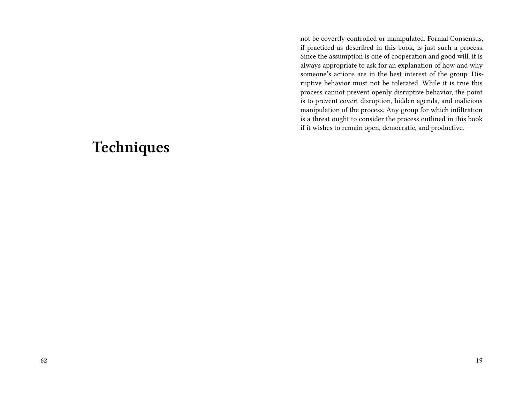not be covertly controlled or manipulated. Formal Consensus, if practiced as described in this book, is just such a process. Since the assumption is one of cooperation and good will, it is always appropriate to ask for an explanation of how and why someone's actions are in the best interest of the group. Disruptive behavior must not be tolerated. While it is true this process cannot prevent openly disruptive behavior, the point is to prevent covert disruption, hidden agenda, and malicious manipulation of the process. Any group for which infiltration is a threat ought to consider the process outlined in this book if it wishes to remain open, democratic, and productive.

# **Techniques**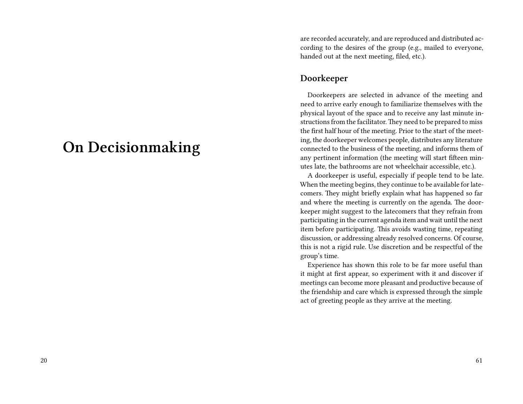# **On Decisionmaking**

are recorded accurately, and are reproduced and distributed according to the desires of the group (e.g., mailed to everyone, handed out at the next meeting, filed, etc.).

#### **Doorkeeper**

Doorkeepers are selected in advance of the meeting and need to arrive early enough to familiarize themselves with the physical layout of the space and to receive any last minute instructions from the facilitator. They need to be prepared to miss the first half hour of the meeting. Prior to the start of the meeting, the doorkeeper welcomes people, distributes any literature connected to the business of the meeting, and informs them of any pertinent information (the meeting will start fifteen minutes late, the bathrooms are not wheelchair accessible, etc.).

A doorkeeper is useful, especially if people tend to be late. When the meeting begins, they continue to be available for latecomers. They might briefly explain what has happened so far and where the meeting is currently on the agenda. The doorkeeper might suggest to the latecomers that they refrain from participating in the current agenda item and wait until the next item before participating. This avoids wasting time, repeating discussion, or addressing already resolved concerns. Of course, this is not a rigid rule. Use discretion and be respectful of the group's time.

Experience has shown this role to be far more useful than it might at first appear, so experiment with it and discover if meetings can become more pleasant and productive because of the friendship and care which is expressed through the simple act of greeting people as they arrive at the meeting.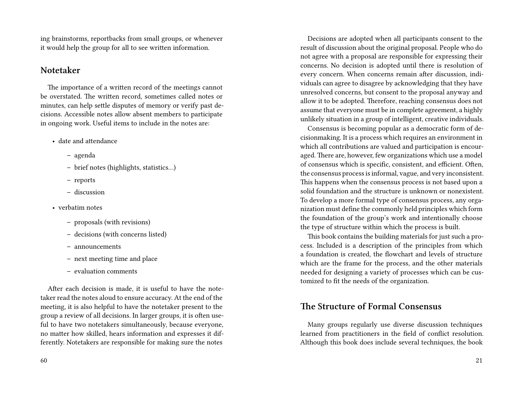ing brainstorms, reportbacks from small groups, or whenever it would help the group for all to see written information.

#### **Notetaker**

The importance of a written record of the meetings cannot be overstated. The written record, sometimes called notes or minutes, can help settle disputes of memory or verify past decisions. Accessible notes allow absent members to participate in ongoing work. Useful items to include in the notes are:

- date and attendance
	- **–** agenda
	- **–** brief notes (highlights, statistics…)
	- **–** reports
	- **–** discussion
- verbatim notes
	- **–** proposals (with revisions)
	- **–** decisions (with concerns listed)
	- **–** announcements
	- **–** next meeting time and place
	- **–** evaluation comments

After each decision is made, it is useful to have the notetaker read the notes aloud to ensure accuracy. At the end of the meeting, it is also helpful to have the notetaker present to the group a review of all decisions. In larger groups, it is often useful to have two notetakers simultaneously, because everyone, no matter how skilled, hears information and expresses it differently. Notetakers are responsible for making sure the notes

Decisions are adopted when all participants consent to the result of discussion about the original proposal. People who do not agree with a proposal are responsible for expressing their concerns. No decision is adopted until there is resolution of every concern. When concerns remain after discussion, individuals can agree to disagree by acknowledging that they have unresolved concerns, but consent to the proposal anyway and allow it to be adopted. Therefore, reaching consensus does not assume that everyone must be in complete agreement, a highly unlikely situation in a group of intelligent, creative individuals.

Consensus is becoming popular as a democratic form of decisionmaking. It is a process which requires an environment in which all contributions are valued and participation is encouraged. There are, however, few organizations which use a model of consensus which is specific, consistent, and efficient. Often, the consensus process is informal, vague, and very inconsistent. This happens when the consensus process is not based upon a solid foundation and the structure is unknown or nonexistent. To develop a more formal type of consensus process, any organization must define the commonly held principles which form the foundation of the group's work and intentionally choose the type of structure within which the process is built.

This book contains the building materials for just such a process. Included is a description of the principles from which a foundation is created, the flowchart and levels of structure which are the frame for the process, and the other materials needed for designing a variety of processes which can be customized to fit the needs of the organization.

#### **The Structure of Formal Consensus**

Many groups regularly use diverse discussion techniques learned from practitioners in the field of conflict resolution. Although this book does include several techniques, the book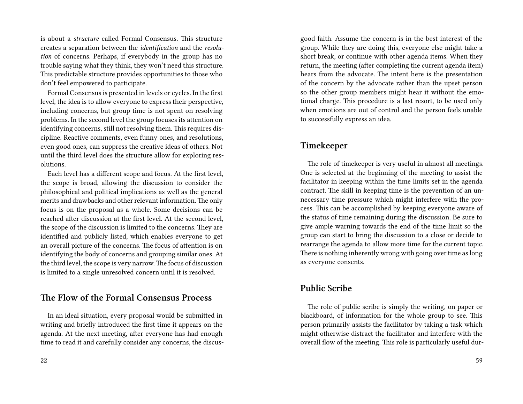is about a *structure* called Formal Consensus. This structure creates a separation between the *identification* and the *resolution* of concerns. Perhaps, if everybody in the group has no trouble saying what they think, they won't need this structure. This predictable structure provides opportunities to those who don't feel empowered to participate.

Formal Consensus is presented in levels or cycles. In the first level, the idea is to allow everyone to express their perspective, including concerns, but group time is not spent on resolving problems. In the second level the group focuses its attention on identifying concerns, still not resolving them. This requires discipline. Reactive comments, even funny ones, and resolutions, even good ones, can suppress the creative ideas of others. Not until the third level does the structure allow for exploring resolutions.

Each level has a different scope and focus. At the first level, the scope is broad, allowing the discussion to consider the philosophical and political implications as well as the general merits and drawbacks and other relevant information. The only focus is on the proposal as a whole. Some decisions can be reached after discussion at the first level. At the second level, the scope of the discussion is limited to the concerns. They are identified and publicly listed, which enables everyone to get an overall picture of the concerns. The focus of attention is on identifying the body of concerns and grouping similar ones. At the third level, the scope is very narrow.The focus of discussion is limited to a single unresolved concern until it is resolved.

#### **The Flow of the Formal Consensus Process**

In an ideal situation, every proposal would be submitted in writing and briefly introduced the first time it appears on the agenda. At the next meeting, after everyone has had enough time to read it and carefully consider any concerns, the discusgood faith. Assume the concern is in the best interest of the group. While they are doing this, everyone else might take a short break, or continue with other agenda items. When they return, the meeting (after completing the current agenda item) hears from the advocate. The intent here is the presentation of the concern by the advocate rather than the upset person so the other group members might hear it without the emotional charge. This procedure is a last resort, to be used only when emotions are out of control and the person feels unable to successfully express an idea.

#### **Timekeeper**

The role of timekeeper is very useful in almost all meetings. One is selected at the beginning of the meeting to assist the facilitator in keeping within the time limits set in the agenda contract. The skill in keeping time is the prevention of an unnecessary time pressure which might interfere with the process. This can be accomplished by keeping everyone aware of the status of time remaining during the discussion. Be sure to give ample warning towards the end of the time limit so the group can start to bring the discussion to a close or decide to rearrange the agenda to allow more time for the current topic. There is nothing inherently wrong with going over time as long as everyone consents.

#### **Public Scribe**

The role of public scribe is simply the writing, on paper or blackboard, of information for the whole group to see. This person primarily assists the facilitator by taking a task which might otherwise distract the facilitator and interfere with the overall flow of the meeting. This role is particularly useful dur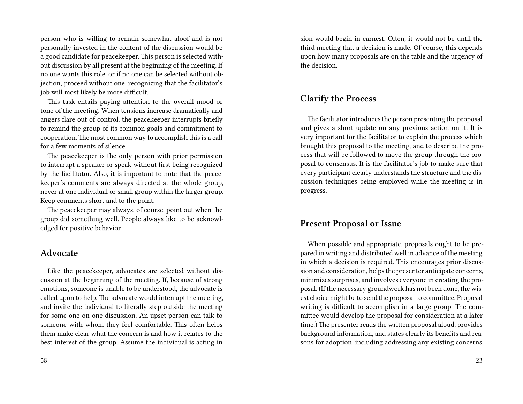person who is willing to remain somewhat aloof and is not personally invested in the content of the discussion would be a good candidate for peacekeeper. This person is selected without discussion by all present at the beginning of the meeting. If no one wants this role, or if no one can be selected without objection, proceed without one, recognizing that the facilitator's job will most likely be more difficult.

This task entails paying attention to the overall mood or tone of the meeting. When tensions increase dramatically and angers flare out of control, the peacekeeper interrupts briefly to remind the group of its common goals and commitment to cooperation. The most common way to accomplish this is a call for a few moments of silence.

The peacekeeper is the only person with prior permission to interrupt a speaker or speak without first being recognized by the facilitator. Also, it is important to note that the peacekeeper's comments are always directed at the whole group, never at one individual or small group within the larger group. Keep comments short and to the point.

The peacekeeper may always, of course, point out when the group did something well. People always like to be acknowledged for positive behavior.

#### **Advocate**

Like the peacekeeper, advocates are selected without discussion at the beginning of the meeting. If, because of strong emotions, someone is unable to be understood, the advocate is called upon to help. The advocate would interrupt the meeting, and invite the individual to literally step outside the meeting for some one-on-one discussion. An upset person can talk to someone with whom they feel comfortable. This often helps them make clear what the concern is and how it relates to the best interest of the group. Assume the individual is acting in

sion would begin in earnest. Often, it would not be until the third meeting that a decision is made. Of course, this depends upon how many proposals are on the table and the urgency of the decision.

#### **Clarify the Process**

The facilitator introduces the person presenting the proposal and gives a short update on any previous action on it. It is very important for the facilitator to explain the process which brought this proposal to the meeting, and to describe the process that will be followed to move the group through the proposal to consensus. It is the facilitator's job to make sure that every participant clearly understands the structure and the discussion techniques being employed while the meeting is in progress.

#### **Present Proposal or Issue**

When possible and appropriate, proposals ought to be prepared in writing and distributed well in advance of the meeting in which a decision is required. This encourages prior discussion and consideration, helps the presenter anticipate concerns, minimizes surprises, and involves everyone in creating the proposal. (If the necessary groundwork has not been done, the wisest choice might be to send the proposal to committee. Proposal writing is difficult to accomplish in a large group. The committee would develop the proposal for consideration at a later time.) The presenter reads the written proposal aloud, provides background information, and states clearly its benefits and reasons for adoption, including addressing any existing concerns.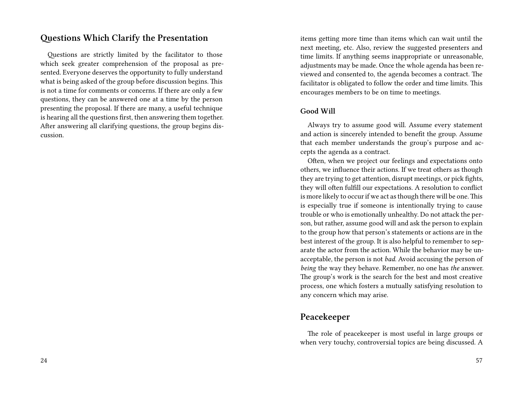#### **Questions Which Clarify the Presentation**

Questions are strictly limited by the facilitator to those which seek greater comprehension of the proposal as presented. Everyone deserves the opportunity to fully understand what is being asked of the group before discussion begins. This is not a time for comments or concerns. If there are only a few questions, they can be answered one at a time by the person presenting the proposal. If there are many, a useful technique is hearing all the questions first, then answering them together. After answering all clarifying questions, the group begins discussion.

items getting more time than items which can wait until the next meeting, etc. Also, review the suggested presenters and time limits. If anything seems inappropriate or unreasonable, adjustments may be made. Once the whole agenda has been reviewed and consented to, the agenda becomes a contract. The facilitator is obligated to follow the order and time limits. This encourages members to be on time to meetings.

#### **Good Will**

Always try to assume good will. Assume every statement and action is sincerely intended to benefit the group. Assume that each member understands the group's purpose and accepts the agenda as a contract.

Often, when we project our feelings and expectations onto others, we influence their actions. If we treat others as though they are trying to get attention, disrupt meetings, or pick fights, they will often fulfill our expectations. A resolution to conflict is more likely to occur if we act as though there will be one.This is especially true if someone is intentionally trying to cause trouble or who is emotionally unhealthy. Do not attack the person, but rather, assume good will and ask the person to explain to the group how that person's statements or actions are in the best interest of the group. It is also helpful to remember to separate the actor from the action. While the behavior may be unacceptable, the person is not *bad*. Avoid accusing the person of *being* the way they behave. Remember, no one has *the* answer. The group's work is the search for the best and most creative process, one which fosters a mutually satisfying resolution to any concern which may arise.

## **Peacekeeper**

The role of peacekeeper is most useful in large groups or when very touchy, controversial topics are being discussed. A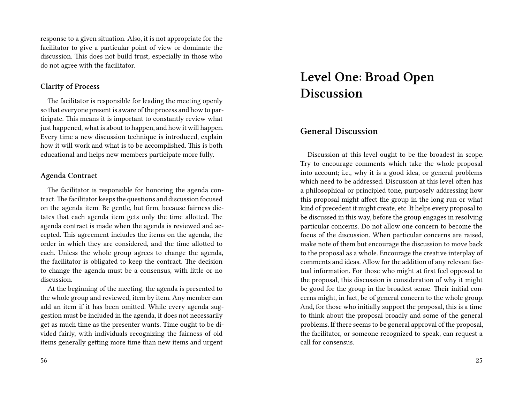response to a given situation. Also, it is not appropriate for the facilitator to give a particular point of view or dominate the discussion. This does not build trust, especially in those who do not agree with the facilitator.

#### **Clarity of Process**

The facilitator is responsible for leading the meeting openly so that everyone present is aware of the process and how to participate. This means it is important to constantly review what just happened, what is about to happen, and how it will happen. Every time a new discussion technique is introduced, explain how it will work and what is to be accomplished. This is both educational and helps new members participate more fully.

#### **Agenda Contract**

The facilitator is responsible for honoring the agenda contract.The facilitator keeps the questions and discussion focused on the agenda item. Be gentle, but firm, because fairness dictates that each agenda item gets only the time allotted. The agenda contract is made when the agenda is reviewed and accepted. This agreement includes the items on the agenda, the order in which they are considered, and the time allotted to each. Unless the whole group agrees to change the agenda, the facilitator is obligated to keep the contract. The decision to change the agenda must be a consensus, with little or no discussion.

At the beginning of the meeting, the agenda is presented to the whole group and reviewed, item by item. Any member can add an item if it has been omitted. While every agenda suggestion must be included in the agenda, it does not necessarily get as much time as the presenter wants. Time ought to be divided fairly, with individuals recognizing the fairness of old items generally getting more time than new items and urgent

# **Level One: Broad Open Discussion**

## **General Discussion**

Discussion at this level ought to be the broadest in scope. Try to encourage comments which take the whole proposal into account; i.e., why it is a good idea, or general problems which need to be addressed. Discussion at this level often has a philosophical or principled tone, purposely addressing how this proposal might affect the group in the long run or what kind of precedent it might create, etc. It helps every proposal to be discussed in this way, before the group engages in resolving particular concerns. Do not allow one concern to become the focus of the discussion. When particular concerns are raised, make note of them but encourage the discussion to move back to the proposal as a whole. Encourage the creative interplay of comments and ideas. Allow for the addition of any relevant factual information. For those who might at first feel opposed to the proposal, this discussion is consideration of why it might be good for the group in the broadest sense. Their initial concerns might, in fact, be of general concern to the whole group. And, for those who initially support the proposal, this is a time to think about the proposal broadly and some of the general problems. If there seems to be general approval of the proposal, the facilitator, or someone recognized to speak, can request a call for consensus.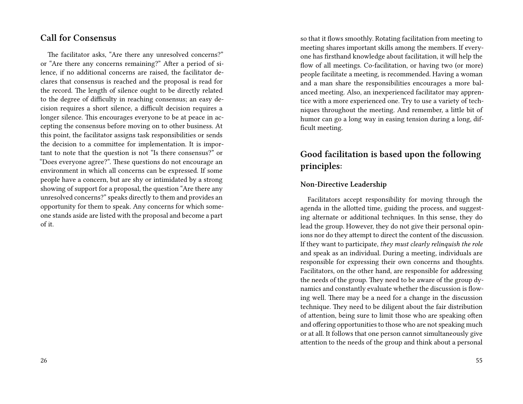## **Call for Consensus**

The facilitator asks, "Are there any unresolved concerns?" or "Are there any concerns remaining?" After a period of silence, if no additional concerns are raised, the facilitator declares that consensus is reached and the proposal is read for the record. The length of silence ought to be directly related to the degree of difficulty in reaching consensus; an easy decision requires a short silence, a difficult decision requires a longer silence. This encourages everyone to be at peace in accepting the consensus before moving on to other business. At this point, the facilitator assigns task responsibilities or sends the decision to a committee for implementation. It is important to note that the question is not "Is there consensus?" or "Does everyone agree?". These questions do not encourage an environment in which all concerns can be expressed. If some people have a concern, but are shy or intimidated by a strong showing of support for a proposal, the question "Are there any unresolved concerns?" speaks directly to them and provides an opportunity for them to speak. Any concerns for which someone stands aside are listed with the proposal and become a part of it.

so that it flows smoothly. Rotating facilitation from meeting to meeting shares important skills among the members. If everyone has firsthand knowledge about facilitation, it will help the flow of all meetings. Co-facilitation, or having two (or more) people facilitate a meeting, is recommended. Having a woman and a man share the responsibilities encourages a more balanced meeting. Also, an inexperienced facilitator may apprentice with a more experienced one. Try to use a variety of techniques throughout the meeting. And remember, a little bit of humor can go a long way in easing tension during a long, difficult meeting.

## **Good facilitation is based upon the following principles:**

#### **Non-Directive Leadership**

Facilitators accept responsibility for moving through the agenda in the allotted time, guiding the process, and suggesting alternate or additional techniques. In this sense, they do lead the group. However, they do not give their personal opinions nor do they attempt to direct the content of the discussion. If they want to participate, *they must clearly relinquish the role* and speak as an individual. During a meeting, individuals are responsible for expressing their own concerns and thoughts. Facilitators, on the other hand, are responsible for addressing the needs of the group. They need to be aware of the group dynamics and constantly evaluate whether the discussion is flowing well. There may be a need for a change in the discussion technique. They need to be diligent about the fair distribution of attention, being sure to limit those who are speaking often and offering opportunities to those who are not speaking much or at all. It follows that one person cannot simultaneously give attention to the needs of the group and think about a personal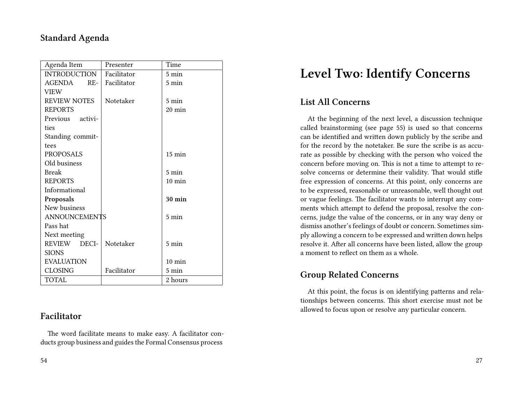## **Standard Agenda**

| Agenda Item          | Presenter   | Time             |
|----------------------|-------------|------------------|
| <b>INTRODUCTION</b>  | Facilitator | 5 min            |
| AGENDA<br>$RE-$      | Facilitator | $5 \text{ min}$  |
| <b>VIEW</b>          |             |                  |
| <b>REVIEW NOTES</b>  | Notetaker   | $5 \text{ min}$  |
| <b>REPORTS</b>       |             | 20 min           |
| Previous activi-     |             |                  |
| ties                 |             |                  |
| Standing commit-     |             |                  |
| tees                 |             |                  |
| <b>PROPOSALS</b>     |             | $15 \text{ min}$ |
| Old business         |             |                  |
| Break                |             | $5 \text{ min}$  |
| <b>REPORTS</b>       |             | $10 \text{ min}$ |
| Informational        |             |                  |
| Proposals            |             | <b>30 min</b>    |
| New business         |             |                  |
| <b>ANNOUNCEMENTS</b> |             | 5 min            |
| Pass hat             |             |                  |
| Next meeting         |             |                  |
| REVIEW DECI-         | Notetaker   | $5 \text{ min}$  |
| <b>SIONS</b>         |             |                  |
| <b>EVALUATION</b>    |             | $10 \text{ min}$ |
| <b>CLOSING</b>       | Facilitator | 5 min            |
| TOTAL                |             | 2 hours          |

#### **Facilitator**

The word facilitate means to make easy. A facilitator conducts group business and guides the Formal Consensus process

# **Level Two: Identify Concerns**

## **List All Concerns**

At the beginning of the next level, a discussion technique called brainstorming (see page 55) is used so that concerns can be identified and written down publicly by the scribe and for the record by the notetaker. Be sure the scribe is as accurate as possible by checking with the person who voiced the concern before moving on. This is not a time to attempt to resolve concerns or determine their validity. That would stifle free expression of concerns. At this point, only concerns are to be expressed, reasonable or unreasonable, well thought out or vague feelings. The facilitator wants to interrupt any comments which attempt to defend the proposal, resolve the concerns, judge the value of the concerns, or in any way deny or dismiss another's feelings of doubt or concern. Sometimes simply allowing a concern to be expressed and written down helps resolve it. After all concerns have been listed, allow the group a moment to reflect on them as a whole.

## **Group Related Concerns**

At this point, the focus is on identifying patterns and relationships between concerns. This short exercise must not be allowed to focus upon or resolve any particular concern.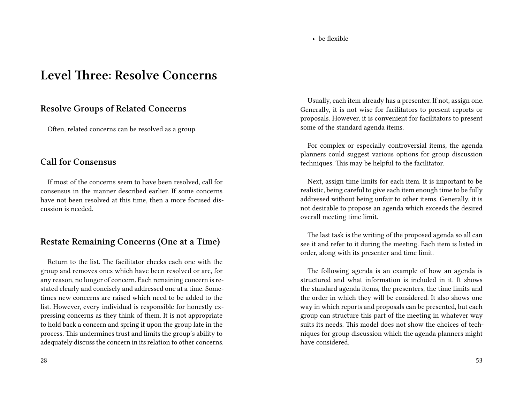#### • be flexible

# **Level Three: Resolve Concerns**

#### **Resolve Groups of Related Concerns**

Often, related concerns can be resolved as a group.

#### **Call for Consensus**

If most of the concerns seem to have been resolved, call for consensus in the manner described earlier. If some concerns have not been resolved at this time, then a more focused discussion is needed.

#### **Restate Remaining Concerns (One at a Time)**

Return to the list. The facilitator checks each one with the group and removes ones which have been resolved or are, for any reason, no longer of concern. Each remaining concern is restated clearly and concisely and addressed one at a time. Sometimes new concerns are raised which need to be added to the list. However, every individual is responsible for honestly expressing concerns as they think of them. It is not appropriate to hold back a concern and spring it upon the group late in the process. This undermines trust and limits the group's ability to adequately discuss the concern in its relation to other concerns.

Usually, each item already has a presenter. If not, assign one. Generally, it is not wise for facilitators to present reports or proposals. However, it is convenient for facilitators to present some of the standard agenda items.

For complex or especially controversial items, the agenda planners could suggest various options for group discussion techniques. This may be helpful to the facilitator.

Next, assign time limits for each item. It is important to be realistic, being careful to give each item enough time to be fully addressed without being unfair to other items. Generally, it is not desirable to propose an agenda which exceeds the desired overall meeting time limit.

The last task is the writing of the proposed agenda so all can see it and refer to it during the meeting. Each item is listed in order, along with its presenter and time limit.

The following agenda is an example of how an agenda is structured and what information is included in it. It shows the standard agenda items, the presenters, the time limits and the order in which they will be considered. It also shows one way in which reports and proposals can be presented, but each group can structure this part of the meeting in whatever way suits its needs. This model does not show the choices of techniques for group discussion which the agenda planners might have considered.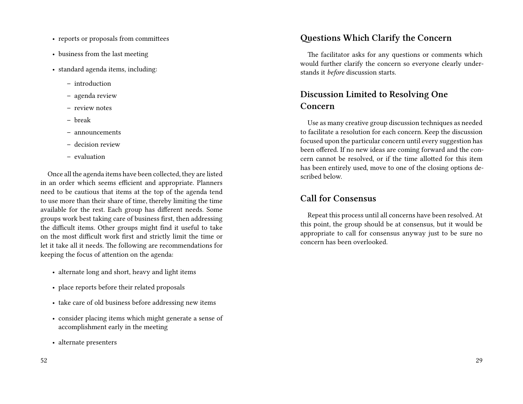- reports or proposals from committees
- business from the last meeting
- standard agenda items, including:
	- **–** introduction
	- **–** agenda review
	- **–** review notes
	- **–** break
	- **–** announcements
	- **–** decision review
	- **–** evaluation

Once all the agenda items have been collected, they are listed in an order which seems efficient and appropriate. Planners need to be cautious that items at the top of the agenda tend to use more than their share of time, thereby limiting the time available for the rest. Each group has different needs. Some groups work best taking care of business first, then addressing the difficult items. Other groups might find it useful to take on the most difficult work first and strictly limit the time or let it take all it needs. The following are recommendations for keeping the focus of attention on the agenda:

- alternate long and short, heavy and light items
- place reports before their related proposals
- take care of old business before addressing new items
- consider placing items which might generate a sense of accomplishment early in the meeting
- alternate presenters

#### **Questions Which Clarify the Concern**

The facilitator asks for any questions or comments which would further clarify the concern so everyone clearly understands it *before* discussion starts.

## **Discussion Limited to Resolving One Concern**

Use as many creative group discussion techniques as needed to facilitate a resolution for each concern. Keep the discussion focused upon the particular concern until every suggestion has been offered. If no new ideas are coming forward and the concern cannot be resolved, or if the time allotted for this item has been entirely used, move to one of the closing options described below.

#### **Call for Consensus**

Repeat this process until all concerns have been resolved. At this point, the group should be at consensus, but it would be appropriate to call for consensus anyway just to be sure no concern has been overlooked.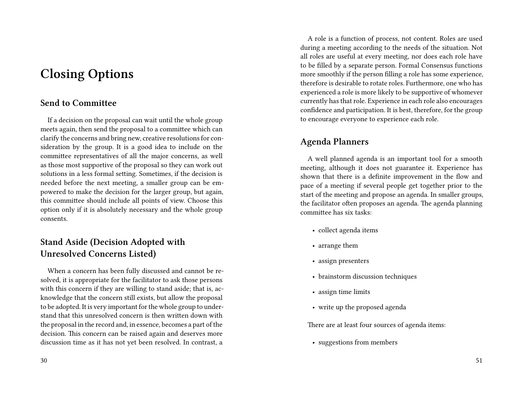# **Closing Options**

## **Send to Committee**

If a decision on the proposal can wait until the whole group meets again, then send the proposal to a committee which can clarify the concerns and bring new, creative resolutions for consideration by the group. It is a good idea to include on the committee representatives of all the major concerns, as well as those most supportive of the proposal so they can work out solutions in a less formal setting. Sometimes, if the decision is needed before the next meeting, a smaller group can be empowered to make the decision for the larger group, but again, this committee should include all points of view. Choose this option only if it is absolutely necessary and the whole group consents.

## **Stand Aside (Decision Adopted with Unresolved Concerns Listed)**

When a concern has been fully discussed and cannot be resolved, it is appropriate for the facilitator to ask those persons with this concern if they are willing to stand aside; that is, acknowledge that the concern still exists, but allow the proposal to be adopted. It is very important for the whole group to understand that this unresolved concern is then written down with the proposal in the record and, in essence, becomes a part of the decision. This concern can be raised again and deserves more discussion time as it has not yet been resolved. In contrast, a

A role is a function of process, not content. Roles are used during a meeting according to the needs of the situation. Not all roles are useful at every meeting, nor does each role have to be filled by a separate person. Formal Consensus functions more smoothly if the person filling a role has some experience, therefore is desirable to rotate roles. Furthermore, one who has experienced a role is more likely to be supportive of whomever currently has that role. Experience in each role also encourages confidence and participation. It is best, therefore, for the group to encourage everyone to experience each role.

## **Agenda Planners**

A well planned agenda is an important tool for a smooth meeting, although it does not guarantee it. Experience has shown that there is a definite improvement in the flow and pace of a meeting if several people get together prior to the start of the meeting and propose an agenda. In smaller groups, the facilitator often proposes an agenda. The agenda planning committee has six tasks:

- collect agenda items
- arrange them
- assign presenters
- brainstorm discussion techniques
- assign time limits
- write up the proposed agenda

There are at least four sources of agenda items:

• suggestions from members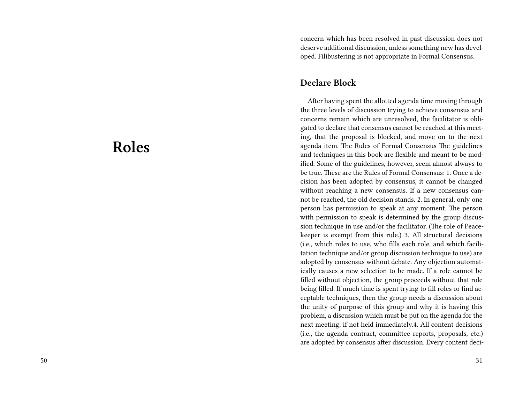# **Roles**

concern which has been resolved in past discussion does not deserve additional discussion, unless something new has developed. Filibustering is not appropriate in Formal Consensus.

### **Declare Block**

After having spent the allotted agenda time moving through the three levels of discussion trying to achieve consensus and concerns remain which are unresolved, the facilitator is obligated to declare that consensus cannot be reached at this meeting, that the proposal is blocked, and move on to the next agenda item. The Rules of Formal Consensus The guidelines and techniques in this book are flexible and meant to be modified. Some of the guidelines, however, seem almost always to be true. These are the Rules of Formal Consensus: 1. Once a decision has been adopted by consensus, it cannot be changed without reaching a new consensus. If a new consensus cannot be reached, the old decision stands. 2. In general, only one person has permission to speak at any moment. The person with permission to speak is determined by the group discussion technique in use and/or the facilitator. (The role of Peacekeeper is exempt from this rule.) 3. All structural decisions (i.e., which roles to use, who fills each role, and which facilitation technique and/or group discussion technique to use) are adopted by consensus without debate. Any objection automatically causes a new selection to be made. If a role cannot be filled without objection, the group proceeds without that role being filled. If much time is spent trying to fill roles or find acceptable techniques, then the group needs a discussion about the unity of purpose of this group and why it is having this problem, a discussion which must be put on the agenda for the next meeting, if not held immediately.4. All content decisions (i.e., the agenda contract, committee reports, proposals, etc.) are adopted by consensus after discussion. Every content deci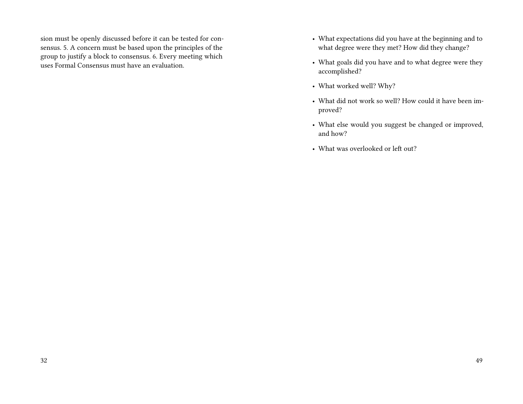sion must be openly discussed before it can be tested for consensus. 5. A concern must be based upon the principles of the group to justify a block to consensus. 6. Every meeting which uses Formal Consensus must have an evaluation.

- What expectations did you have at the beginning and to what degree were they met? How did they change?
- What goals did you have and to what degree were they accomplished?
- What worked well? Why?
- What did not work so well? How could it have been improved?
- What else would you suggest be changed or improved, and how?
- What was overlooked or left out?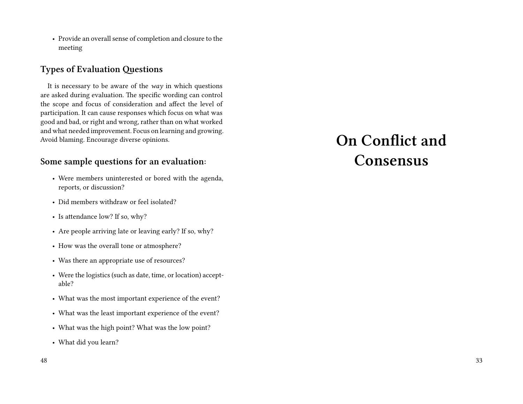• Provide an overall sense of completion and closure to the meeting

## **Types of Evaluation Questions**

It is necessary to be aware of the *way* in which questions are asked during evaluation. The specific wording can control the scope and focus of consideration and affect the level of participation. It can cause responses which focus on what was good and bad, or right and wrong, rather than on what worked and what needed improvement. Focus on learning and growing. Avoid blaming. Encourage diverse opinions.

#### **Some sample questions for an evaluation:**

- Were members uninterested or bored with the agenda, reports, or discussion?
- Did members withdraw or feel isolated?
- Is attendance low? If so, why?
- Are people arriving late or leaving early? If so, why?
- How was the overall tone or atmosphere?
- Was there an appropriate use of resources?
- Were the logistics (such as date, time, or location) acceptable?
- What was the most important experience of the event?
- What was the least important experience of the event?
- What was the high point? What was the low point?
- What did you learn?

# **On Conflict and Consensus**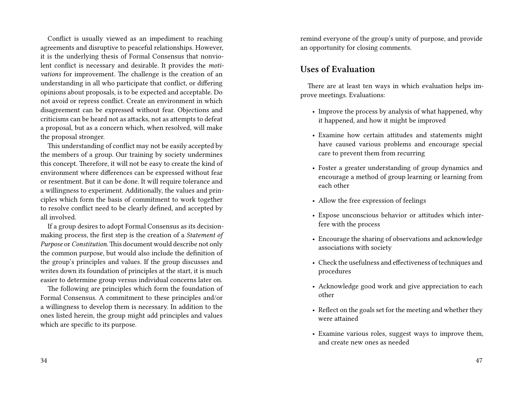Conflict is usually viewed as an impediment to reaching agreements and disruptive to peaceful relationships. However, it is the underlying thesis of Formal Consensus that nonviolent conflict is necessary and desirable. It provides the *motivations* for improvement. The challenge is the creation of an understanding in all who participate that conflict, or differing opinions about proposals, is to be expected and acceptable. Do not avoid or repress conflict. Create an environment in which disagreement can be expressed without fear. Objections and criticisms can be heard not as attacks, not as attempts to defeat a proposal, but as a concern which, when resolved, will make the proposal stronger.

This understanding of conflict may not be easily accepted by the members of a group. Our training by society undermines this concept. Therefore, it will not be easy to create the kind of environment where differences can be expressed without fear or resentment. But it can be done. It will require tolerance and a willingness to experiment. Additionally, the values and principles which form the basis of commitment to work together to resolve conflict need to be clearly defined, and accepted by all involved.

If a group desires to adopt Formal Consensus as its decisionmaking process, the first step is the creation of a *Statement of Purpose* or *Constitution*.This document would describe not only the common purpose, but would also include the definition of the group's principles and values. If the group discusses and writes down its foundation of principles at the start, it is much easier to determine group versus individual concerns later on.

The following are principles which form the foundation of Formal Consensus. A commitment to these principles and/or a willingness to develop them is necessary. In addition to the ones listed herein, the group might add principles and values which are specific to its purpose.

remind everyone of the group's unity of purpose, and provide an opportunity for closing comments.

## **Uses of Evaluation**

There are at least ten ways in which evaluation helps improve meetings. Evaluations:

- Improve the process by analysis of what happened, why it happened, and how it might be improved
- Examine how certain attitudes and statements might have caused various problems and encourage special care to prevent them from recurring
- Foster a greater understanding of group dynamics and encourage a method of group learning or learning from each other
- Allow the free expression of feelings
- Expose unconscious behavior or attitudes which interfere with the process
- Encourage the sharing of observations and acknowledge associations with society
- Check the usefulness and effectiveness of techniques and procedures
- Acknowledge good work and give appreciation to each other
- Reflect on the goals set for the meeting and whether they were attained
- Examine various roles, suggest ways to improve them, and create new ones as needed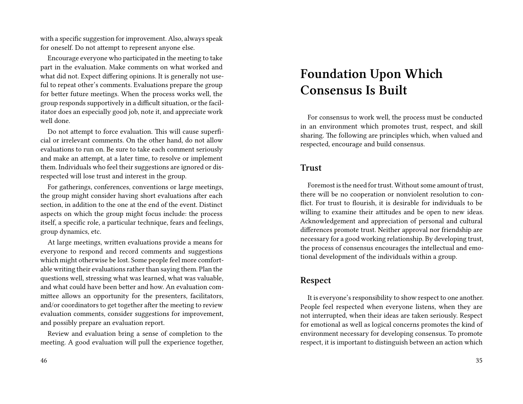with a specific suggestion for improvement. Also, always speak for oneself. Do not attempt to represent anyone else.

Encourage everyone who participated in the meeting to take part in the evaluation. Make comments on what worked and what did not. Expect differing opinions. It is generally not useful to repeat other's comments. Evaluations prepare the group for better future meetings. When the process works well, the group responds supportively in a difficult situation, or the facilitator does an especially good job, note it, and appreciate work well done.

Do not attempt to force evaluation. This will cause superficial or irrelevant comments. On the other hand, do not allow evaluations to run on. Be sure to take each comment seriously and make an attempt, at a later time, to resolve or implement them. Individuals who feel their suggestions are ignored or disrespected will lose trust and interest in the group.

For gatherings, conferences, conventions or large meetings, the group might consider having short evaluations after each section, in addition to the one at the end of the event. Distinct aspects on which the group might focus include: the process itself, a specific role, a particular technique, fears and feelings, group dynamics, etc.

At large meetings, written evaluations provide a means for everyone to respond and record comments and suggestions which might otherwise be lost. Some people feel more comfortable writing their evaluations rather than saying them. Plan the questions well, stressing what was learned, what was valuable, and what could have been better and how. An evaluation committee allows an opportunity for the presenters, facilitators, and/or coordinators to get together after the meeting to review evaluation comments, consider suggestions for improvement, and possibly prepare an evaluation report.

Review and evaluation bring a sense of completion to the meeting. A good evaluation will pull the experience together,

# **Foundation Upon Which Consensus Is Built**

For consensus to work well, the process must be conducted in an environment which promotes trust, respect, and skill sharing. The following are principles which, when valued and respected, encourage and build consensus.

#### **Trust**

Foremost is the need for trust. Without some amount of trust, there will be no cooperation or nonviolent resolution to conflict. For trust to flourish, it is desirable for individuals to be willing to examine their attitudes and be open to new ideas. Acknowledgement and appreciation of personal and cultural differences promote trust. Neither approval nor friendship are necessary for a good working relationship. By developing trust, the process of consensus encourages the intellectual and emotional development of the individuals within a group.

#### **Respect**

It is everyone's responsibility to show respect to one another. People feel respected when everyone listens, when they are not interrupted, when their ideas are taken seriously. Respect for emotional as well as logical concerns promotes the kind of environment necessary for developing consensus. To promote respect, it is important to distinguish between an action which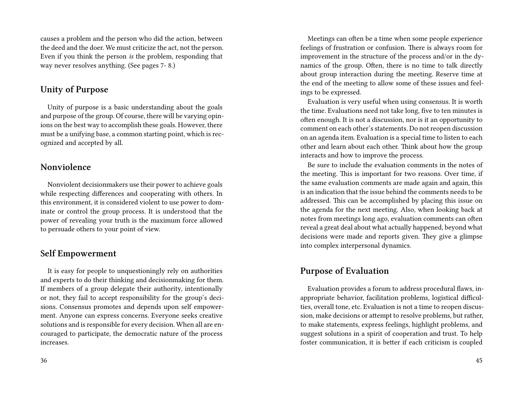causes a problem and the person who did the action, between the deed and the doer. We must criticize the act, not the person. Even if you think the person *is* the problem, responding that way never resolves anything. (See pages 7- 8.)

#### **Unity of Purpose**

Unity of purpose is a basic understanding about the goals and purpose of the group. Of course, there will be varying opinions on the best way to accomplish these goals. However, there must be a unifying base, a common starting point, which is recognized and accepted by all.

### **Nonviolence**

Nonviolent decisionmakers use their power to achieve goals while respecting differences and cooperating with others. In this environment, it is considered violent to use power to dominate or control the group process. It is understood that the power of revealing your truth is the maximum force allowed to persuade others to your point of view.

#### **Self Empowerment**

It is easy for people to unquestioningly rely on authorities and experts to do their thinking and decisionmaking for them. If members of a group delegate their authority, intentionally or not, they fail to accept responsibility for the group's decisions. Consensus promotes and depends upon self empowerment. Anyone can express concerns. Everyone seeks creative solutions and is responsible for every decision. When all are encouraged to participate, the democratic nature of the process increases.

Meetings can often be a time when some people experience feelings of frustration or confusion. There is always room for improvement in the structure of the process and/or in the dynamics of the group. Often, there is no time to talk directly about group interaction during the meeting. Reserve time at the end of the meeting to allow some of these issues and feelings to be expressed.

Evaluation is very useful when using consensus. It is worth the time. Evaluations need not take long, five to ten minutes is often enough. It is not a discussion, nor is it an opportunity to comment on each other's statements. Do not reopen discussion on an agenda item. Evaluation is a special time to listen to each other and learn about each other. Think about how the group interacts and how to improve the process.

Be sure to include the evaluation comments in the notes of the meeting. This is important for two reasons. Over time, if the same evaluation comments are made again and again, this is an indication that the issue behind the comments needs to be addressed. This can be accomplished by placing this issue on the agenda for the next meeting. Also, when looking back at notes from meetings long ago, evaluation comments can often reveal a great deal about what actually happened, beyond what decisions were made and reports given. They give a glimpse into complex interpersonal dynamics.

#### **Purpose of Evaluation**

Evaluation provides a forum to address procedural flaws, inappropriate behavior, facilitation problems, logistical difficulties, overall tone, etc. Evaluation is not a time to reopen discussion, make decisions or attempt to resolve problems, but rather, to make statements, express feelings, highlight problems, and suggest solutions in a spirit of cooperation and trust. To help foster communication, it is better if each criticism is coupled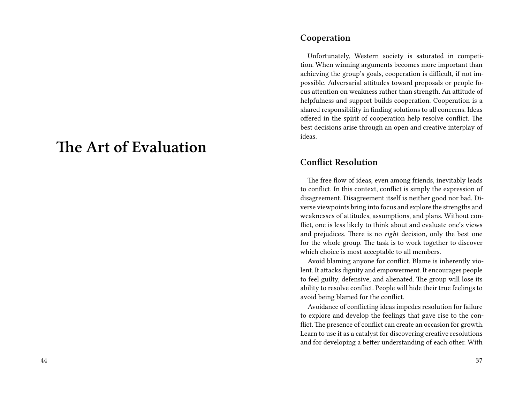# **The Art of Evaluation**

#### **Cooperation**

Unfortunately, Western society is saturated in competition. When winning arguments becomes more important than achieving the group's goals, cooperation is difficult, if not impossible. Adversarial attitudes toward proposals or people focus attention on weakness rather than strength. An attitude of helpfulness and support builds cooperation. Cooperation is a shared responsibility in finding solutions to all concerns. Ideas offered in the spirit of cooperation help resolve conflict. The best decisions arise through an open and creative interplay of ideas.

#### **Conflict Resolution**

The free flow of ideas, even among friends, inevitably leads to conflict. In this context, conflict is simply the expression of disagreement. Disagreement itself is neither good nor bad. Diverse viewpoints bring into focus and explore the strengths and weaknesses of attitudes, assumptions, and plans. Without conflict, one is less likely to think about and evaluate one's views and prejudices. There is no *right* decision, only the best one for the whole group. The task is to work together to discover which choice is most acceptable to all members.

Avoid blaming anyone for conflict. Blame is inherently violent. It attacks dignity and empowerment. It encourages people to feel guilty, defensive, and alienated. The group will lose its ability to resolve conflict. People will hide their true feelings to avoid being blamed for the conflict.

Avoidance of conflicting ideas impedes resolution for failure to explore and develop the feelings that gave rise to the conflict. The presence of conflict can create an occasion for growth. Learn to use it as a catalyst for discovering creative resolutions and for developing a better understanding of each other. With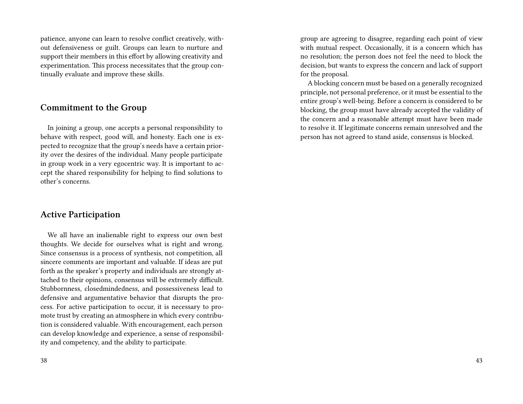patience, anyone can learn to resolve conflict creatively, without defensiveness or guilt. Groups can learn to nurture and support their members in this effort by allowing creativity and experimentation. This process necessitates that the group continually evaluate and improve these skills.

#### **Commitment to the Group**

In joining a group, one accepts a personal responsibility to behave with respect, good will, and honesty. Each one is expected to recognize that the group's needs have a certain priority over the desires of the individual. Many people participate in group work in a very egocentric way. It is important to accept the shared responsibility for helping to find solutions to other's concerns.

#### **Active Participation**

We all have an inalienable right to express our own best thoughts. We decide for ourselves what is right and wrong. Since consensus is a process of synthesis, not competition, all sincere comments are important and valuable. If ideas are put forth as the speaker's property and individuals are strongly attached to their opinions, consensus will be extremely difficult. Stubbornness, closedmindedness, and possessiveness lead to defensive and argumentative behavior that disrupts the process. For active participation to occur, it is necessary to promote trust by creating an atmosphere in which every contribution is considered valuable. With encouragement, each person can develop knowledge and experience, a sense of responsibility and competency, and the ability to participate.

38

group are agreeing to disagree, regarding each point of view with mutual respect. Occasionally, it is a concern which has no resolution; the person does not feel the need to block the decision, but wants to express the concern and lack of support for the proposal.

A blocking concern must be based on a generally recognized principle, not personal preference, or it must be essential to the entire group's well-being. Before a concern is considered to be blocking, the group must have already accepted the validity of the concern and a reasonable attempt must have been made to resolve it. If legitimate concerns remain unresolved and the person has not agreed to stand aside, consensus is blocked.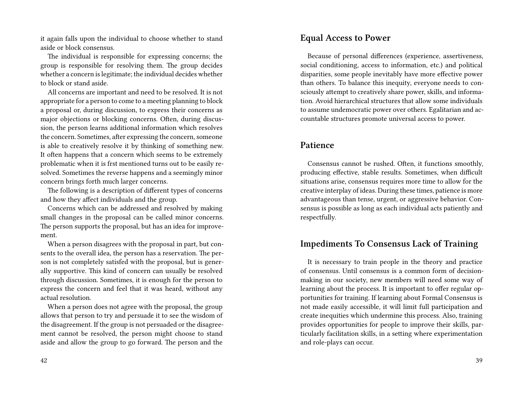it again falls upon the individual to choose whether to stand aside or block consensus.

The individual is responsible for expressing concerns; the group is responsible for resolving them. The group decides whether a concern is legitimate; the individual decides whether to block or stand aside.

All concerns are important and need to be resolved. It is not appropriate for a person to come to a meeting planning to block a proposal or, during discussion, to express their concerns as major objections or blocking concerns. Often, during discussion, the person learns additional information which resolves the concern. Sometimes, after expressing the concern, someone is able to creatively resolve it by thinking of something new. It often happens that a concern which seems to be extremely problematic when it is frst mentioned turns out to be easily resolved. Sometimes the reverse happens and a seemingly minor concern brings forth much larger concerns.

The following is a description of different types of concerns and how they affect individuals and the group.

Concerns which can be addressed and resolved by making small changes in the proposal can be called minor concerns. The person supports the proposal, but has an idea for improvement.

When a person disagrees with the proposal in part, but consents to the overall idea, the person has a reservation. The person is not completely satisfed with the proposal, but is generally supportive. This kind of concern can usually be resolved through discussion. Sometimes, it is enough for the person to express the concern and feel that it was heard, without any actual resolution.

When a person does not agree with the proposal, the group allows that person to try and persuade it to see the wisdom of the disagreement. If the group is not persuaded or the disagreement cannot be resolved, the person might choose to stand aside and allow the group to go forward. The person and the

#### **Equal Access to Power**

Because of personal differences (experience, assertiveness, social conditioning, access to information, etc.) and political disparities, some people inevitably have more effective power than others. To balance this inequity, everyone needs to consciously attempt to creatively share power, skills, and information. Avoid hierarchical structures that allow some individuals to assume undemocratic power over others. Egalitarian and accountable structures promote universal access to power.

#### **Patience**

Consensus cannot be rushed. Often, it functions smoothly, producing effective, stable results. Sometimes, when difficult situations arise, consensus requires more time to allow for the creative interplay of ideas. During these times, patience is more advantageous than tense, urgent, or aggressive behavior. Consensus is possible as long as each individual acts patiently and respectfully.

### **Impediments To Consensus Lack of Training**

It is necessary to train people in the theory and practice of consensus. Until consensus is a common form of decisionmaking in our society, new members will need some way of learning about the process. It is important to offer regular opportunities for training. If learning about Formal Consensus is not made easily accessible, it will limit full participation and create inequities which undermine this process. Also, training provides opportunities for people to improve their skills, particularly facilitation skills, in a setting where experimentation and role-plays can occur.